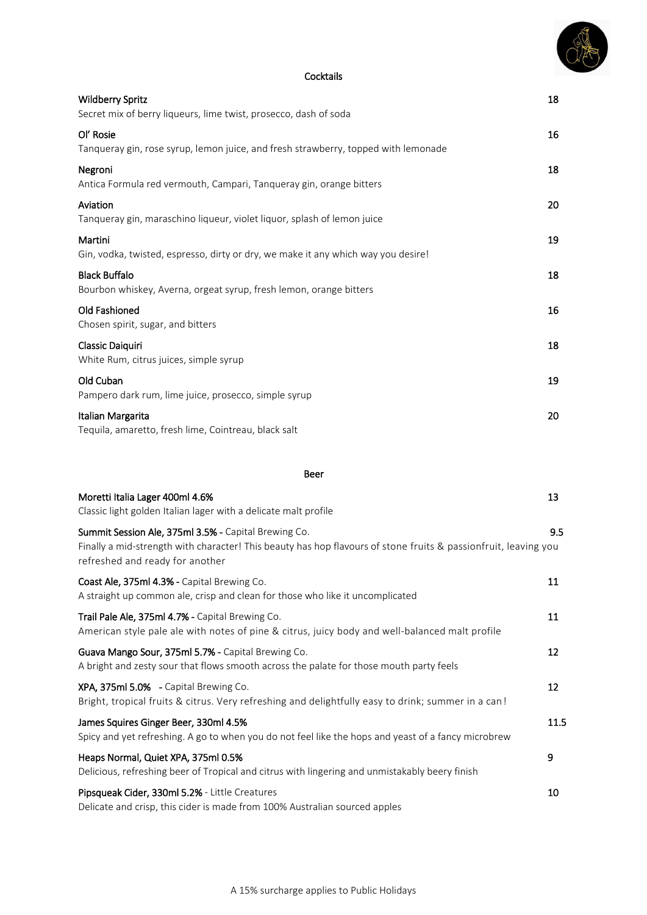

#### **Cocktails**

| <b>Wildberry Spritz</b><br>Secret mix of berry liqueurs, lime twist, prosecco, dash of soda                                                                                                                | 18  |
|------------------------------------------------------------------------------------------------------------------------------------------------------------------------------------------------------------|-----|
| Ol' Rosie<br>Tanqueray gin, rose syrup, lemon juice, and fresh strawberry, topped with lemonade                                                                                                            | 16  |
| Negroni<br>Antica Formula red vermouth, Campari, Tanqueray gin, orange bitters                                                                                                                             | 18  |
| Aviation<br>Tanqueray gin, maraschino liqueur, violet liquor, splash of lemon juice                                                                                                                        | 20  |
| Martini<br>Gin, vodka, twisted, espresso, dirty or dry, we make it any which way you desire!                                                                                                               | 19  |
| <b>Black Buffalo</b><br>Bourbon whiskey, Averna, orgeat syrup, fresh lemon, orange bitters                                                                                                                 | 18  |
| Old Fashioned<br>Chosen spirit, sugar, and bitters                                                                                                                                                         | 16  |
| Classic Daiquiri<br>White Rum, citrus juices, simple syrup                                                                                                                                                 | 18  |
| Old Cuban<br>Pampero dark rum, lime juice, prosecco, simple syrup                                                                                                                                          | 19  |
| Italian Margarita<br>Tequila, amaretto, fresh lime, Cointreau, black salt                                                                                                                                  | 20  |
| Beer                                                                                                                                                                                                       |     |
| Moretti Italia Lager 400ml 4.6%<br>Classic light golden Italian lager with a delicate malt profile                                                                                                         | 13  |
| Summit Session Ale, 375ml 3.5% - Capital Brewing Co.<br>Finally a mid-strength with character! This beauty has hop flavours of stone fruits & passionfruit, leaving you<br>refreshed and ready for another | 9.5 |
| Coast Ale, 375ml 4.3% - Capital Brewing Co.                                                                                                                                                                | 11  |

| A straight up common ale, crisp and clean for those who like it uncomplicated                                                                      |      |
|----------------------------------------------------------------------------------------------------------------------------------------------------|------|
| Trail Pale Ale, 375ml 4.7% - Capital Brewing Co.<br>American style pale ale with notes of pine & citrus, juicy body and well-balanced malt profile | 11   |
| Guava Mango Sour, 375ml 5.7% - Capital Brewing Co.<br>A bright and zesty sour that flows smooth across the palate for those mouth party feels      | 12   |
| XPA, 375ml 5.0% - Capital Brewing Co.<br>Bright, tropical fruits & citrus. Very refreshing and delightfully easy to drink; summer in a can!        | 12   |
| James Squires Ginger Beer, 330ml 4.5%<br>Spicy and yet refreshing. A go to when you do not feel like the hops and yeast of a fancy microbrew       | 11.5 |
| Heaps Normal, Quiet XPA, 375ml 0.5%<br>Delicious, refreshing beer of Tropical and citrus with lingering and unmistakably beery finish              | 9    |
| Pipsqueak Cider, 330ml 5.2% - Little Creatures<br>Delicate and crisp, this cider is made from 100% Australian sourced apples                       | 10   |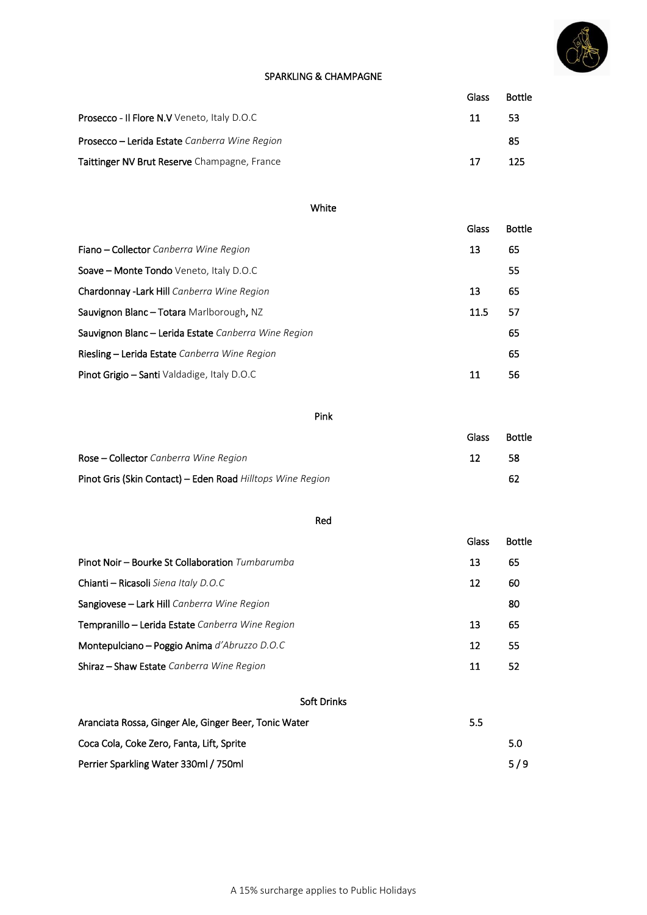

#### SPARKLING & CHAMPAGNE

|                                                      | Glass | <b>Bottle</b> |
|------------------------------------------------------|-------|---------------|
| <b>Prosecco - Il Flore N.V</b> Veneto, Italy D.O.C   | 11    | 53            |
| <b>Prosecco – Lerida Estate</b> Canberra Wine Region |       | 85            |
| Taittinger NV Brut Reserve Champagne, France         | 17    | 125           |

#### White

|                                                      | Glass | <b>Bottle</b> |
|------------------------------------------------------|-------|---------------|
| Fiano – Collector Canberra Wine Region               | 13    | 65            |
| Soave - Monte Tondo Veneto, Italy D.O.C              |       | 55            |
| Chardonnay - Lark Hill Canberra Wine Region          | 13    | 65            |
| Sauvignon Blanc - Totara Marlborough, NZ             | 11.5  | 57            |
| Sauvignon Blanc - Lerida Estate Canberra Wine Region |       | 65            |
| Riesling - Lerida Estate Canberra Wine Region        |       | 65            |
| Pinot Grigio - Santi Valdadige, Italy D.O.C          | 11    | 56            |

## Pink

|                                                            | Glass | <b>Bottle</b> |
|------------------------------------------------------------|-------|---------------|
| <b>Rose – Collector</b> Canberra Wine Region               | 12    | 58            |
| Pinot Gris (Skin Contact) - Eden Road Hilltops Wine Region |       | 62            |

#### Red

|                                                  | Glass | <b>Bottle</b> |
|--------------------------------------------------|-------|---------------|
| Pinot Noir – Bourke St Collaboration Tumbarumba  | 13    | 65            |
| Chianti – Ricasoli Siena Italy D.O.C             | 12    | 60            |
| Sangiovese – Lark Hill Canberra Wine Region      |       | 80            |
| Tempranillo – Lerida Estate Canberra Wine Region | 13    | 65            |
| Montepulciano - Poggio Anima d'Abruzzo D.O.C     | 12    | 55            |
| Shiraz - Shaw Estate Canberra Wine Region        | 11    | 52            |
|                                                  |       |               |

### Soft Drinks

| Aranciata Rossa, Ginger Ale, Ginger Beer, Tonic Water | 5.5 |     |
|-------------------------------------------------------|-----|-----|
| Coca Cola, Coke Zero, Fanta, Lift, Sprite             |     | 5.0 |
| Perrier Sparkling Water 330ml / 750ml                 |     | 5/9 |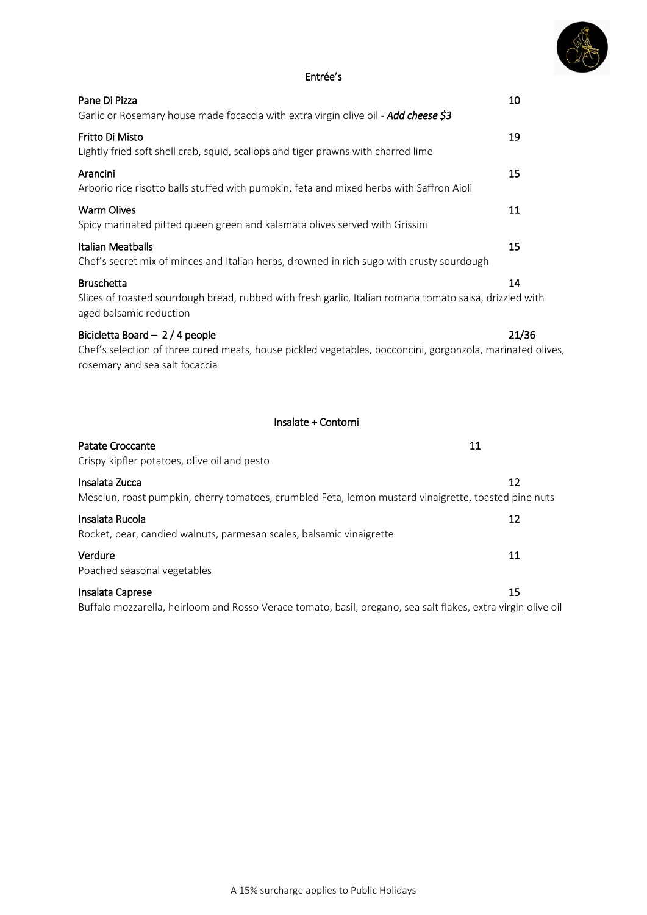

## Entrée's

| Pane Di Pizza<br>Garlic or Rosemary house made focaccia with extra virgin olive oil - Add cheese \$3                                                                            | 10    |
|---------------------------------------------------------------------------------------------------------------------------------------------------------------------------------|-------|
| Fritto Di Misto<br>Lightly fried soft shell crab, squid, scallops and tiger prawns with charred lime                                                                            | 19    |
| Arancini<br>Arborio rice risotto balls stuffed with pumpkin, feta and mixed herbs with Saffron Aioli                                                                            | 15    |
| <b>Warm Olives</b><br>Spicy marinated pitted queen green and kalamata olives served with Grissini                                                                               | 11    |
| <b>Italian Meatballs</b><br>Chef's secret mix of minces and Italian herbs, drowned in rich sugo with crusty sourdough                                                           | 15    |
| <b>Bruschetta</b><br>Slices of toasted sourdough bread, rubbed with fresh garlic, Italian romana tomato salsa, drizzled with<br>aged balsamic reduction                         | 14    |
| Bicicletta Board - 2 / 4 people<br>Chef's selection of three cured meats, house pickled vegetables, bocconcini, gorgonzola, marinated olives,<br>rosemary and sea salt focaccia | 21/36 |
| Insalate + Contorni                                                                                                                                                             |       |
| 11<br>Patate Croccante<br>Crispy kipfler potatoes, olive oil and pesto                                                                                                          |       |
| Insalata Zucca<br>Mesclun, roast pumpkin, cherry tomatoes, crumbled Feta, lemon mustard vinaigrette, toasted pine nuts                                                          | 12    |
| Insalata Rucola<br>Rocket, pear, candied walnuts, parmesan scales, balsamic vinaigrette                                                                                         | 12    |
| Verdure<br>Poached seasonal vegetables                                                                                                                                          | 11    |
| Insalata Caprese                                                                                                                                                                | 15    |

Buffalo mozzarella, heirloom and Rosso Verace tomato, basil, oregano, sea salt flakes, extra virgin olive oil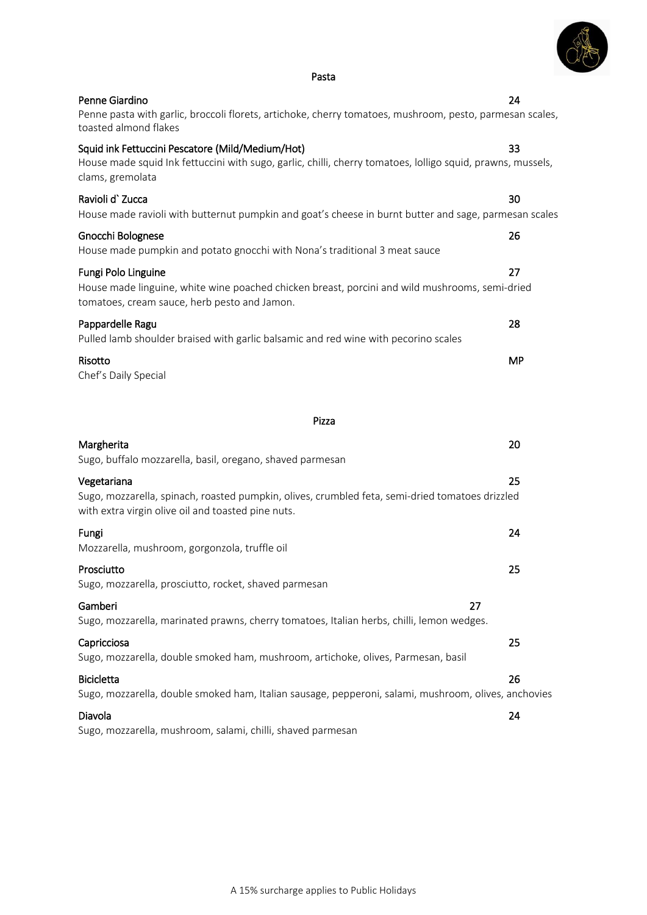| Pasta                                                                                                                                                                               |    |
|-------------------------------------------------------------------------------------------------------------------------------------------------------------------------------------|----|
| Penne Giardino<br>Penne pasta with garlic, broccoli florets, artichoke, cherry tomatoes, mushroom, pesto, parmesan scales,<br>toasted almond flakes                                 | 24 |
| Squid ink Fettuccini Pescatore (Mild/Medium/Hot)<br>House made squid Ink fettuccini with sugo, garlic, chilli, cherry tomatoes, lolligo squid, prawns, mussels,<br>clams, gremolata | 33 |
| Ravioli d' Zucca<br>House made ravioli with butternut pumpkin and goat's cheese in burnt butter and sage, parmesan scales                                                           | 30 |
| Gnocchi Bolognese<br>House made pumpkin and potato gnocchi with Nona's traditional 3 meat sauce                                                                                     | 26 |
| Fungi Polo Linguine                                                                                                                                                                 | 27 |

| House made pumpkin and potato gnocchi with Nona's traditional 3 meat sauce                                                                                            |           |
|-----------------------------------------------------------------------------------------------------------------------------------------------------------------------|-----------|
| Fungi Polo Linguine<br>House made linguine, white wine poached chicken breast, porcini and wild mushrooms, semi-dried<br>tomatoes, cream sauce, herb pesto and Jamon. | 27        |
| Pappardelle Ragu<br>Pulled lamb shoulder braised with garlic balsamic and red wine with pecorino scales                                                               | 28        |
| Risotto<br>Chef's Daily Special                                                                                                                                       | <b>MP</b> |
| Pizza                                                                                                                                                                 |           |
| Margherita<br>Sugo, buffalo mozzarella, basil, oregano, shaved parmesan                                                                                               | 20        |
| Vegetariana<br>Sugo, mozzarella, spinach, roasted pumpkin, olives, crumbled feta, semi-dried tomatoes drizzled<br>with extra virgin olive oil and toasted pine nuts.  | 25        |
| Fungi<br>Mozzarella, mushroom, gorgonzola, truffle oil                                                                                                                | 24        |
| Prosciutto<br>Sugo, mozzarella, prosciutto, rocket, shaved parmesan                                                                                                   | 25        |
| Gamberi<br>27                                                                                                                                                         |           |

Sugo, mozzarella, marinated prawns, cherry tomatoes, Italian herbs, chilli, lemon wedges. Capricciosa 25

Sugo, mozzarella, double smoked ham, mushroom, artichoke, olives, Parmesan, basil Bicicletta 26 Sugo, mozzarella, double smoked ham, Italian sausage, pepperoni, salami, mushroom, olives, anchovies Diavola 24

Sugo, mozzarella, mushroom, salami, chilli, shaved parmesan